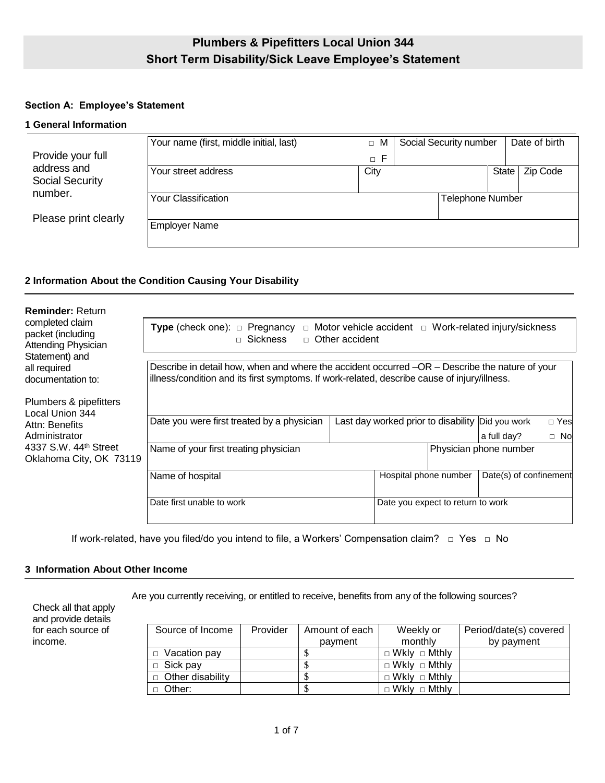# **Plumbers & Pipefitters Local Union 344 Short Term Disability/Sick Leave Employee's Statement**

## **Section A: Employee's Statement**

#### **1 General Information**

|                                   | Your name (first, middle initial, last) | M<br>$\Box$  | Social Security number |                         | Date of birth |
|-----------------------------------|-----------------------------------------|--------------|------------------------|-------------------------|---------------|
| Provide your full<br>address and  |                                         | -F<br>$\Box$ |                        |                         |               |
|                                   | Your street address                     | City         |                        | <b>State</b>            | Zip Code      |
| <b>Social Security</b><br>number. |                                         |              |                        |                         |               |
|                                   | Your Classification                     |              |                        | <b>Telephone Number</b> |               |
| Please print clearly              |                                         |              |                        |                         |               |
|                                   | <b>Employer Name</b>                    |              |                        |                         |               |
|                                   |                                         |              |                        |                         |               |

### **2 Information About the Condition Causing Your Disability**

| <b>Reminder: Return</b>                                            |                                                                                                                                                                                                |  |                                     |  |                        |           |
|--------------------------------------------------------------------|------------------------------------------------------------------------------------------------------------------------------------------------------------------------------------------------|--|-------------------------------------|--|------------------------|-----------|
| completed claim<br>packet (including<br><b>Attending Physician</b> | <b>Type</b> (check one): $\Box$ Pregnancy<br>$\Box$ Motor vehicle accident $\Box$ Work-related injury/sickness<br>$\Box$ Sickness<br>$\Box$ Other accident                                     |  |                                     |  |                        |           |
| Statement) and                                                     |                                                                                                                                                                                                |  |                                     |  |                        |           |
| all required<br>documentation to:                                  | Describe in detail how, when and where the accident occurred –OR – Describe the nature of your<br>illness/condition and its first symptoms. If work-related, describe cause of injury/illness. |  |                                     |  |                        |           |
| Plumbers & pipefitters<br>Local Union 344                          |                                                                                                                                                                                                |  |                                     |  |                        |           |
| Attn: Benefits                                                     | Date you were first treated by a physician                                                                                                                                                     |  | Last day worked prior to disability |  | Did you work           | □ Yes     |
| Administrator                                                      |                                                                                                                                                                                                |  |                                     |  | a full day?            | $\Box$ No |
| 4337 S.W. 44 <sup>th</sup> Street<br>Oklahoma City, OK 73119       | Name of your first treating physician                                                                                                                                                          |  |                                     |  | Physician phone number |           |
|                                                                    | Name of hospital                                                                                                                                                                               |  | Hospital phone number               |  | Date(s) of confinement |           |
|                                                                    | Date first unable to work                                                                                                                                                                      |  | Date you expect to return to work   |  |                        |           |

If work-related, have you filed/do you intend to file, a Workers' Compensation claim? □ Yes □ No

## **3 Information About Other Income**

Check all that apply and provide details for each source of income.

Are you currently receiving, or entitled to receive, benefits from any of the following sources?

| Source of Income        | Provider | Amount of each | Weekly or                | Period/date(s) covered |
|-------------------------|----------|----------------|--------------------------|------------------------|
|                         |          | payment        | monthly                  | by payment             |
| $\Box$ Vacation pay     |          |                | $\Box$ Wkly $\Box$ Mthly |                        |
| $\Box$ Sick pay         |          |                | $\Box$ Wkly $\Box$ Mthly |                        |
| $\Box$ Other disability |          | S              | $\Box$ Wkly $\Box$ Mthly |                        |
| Other:<br>П.            |          | \$             | $\Box$ Wkly $\Box$ Mthly |                        |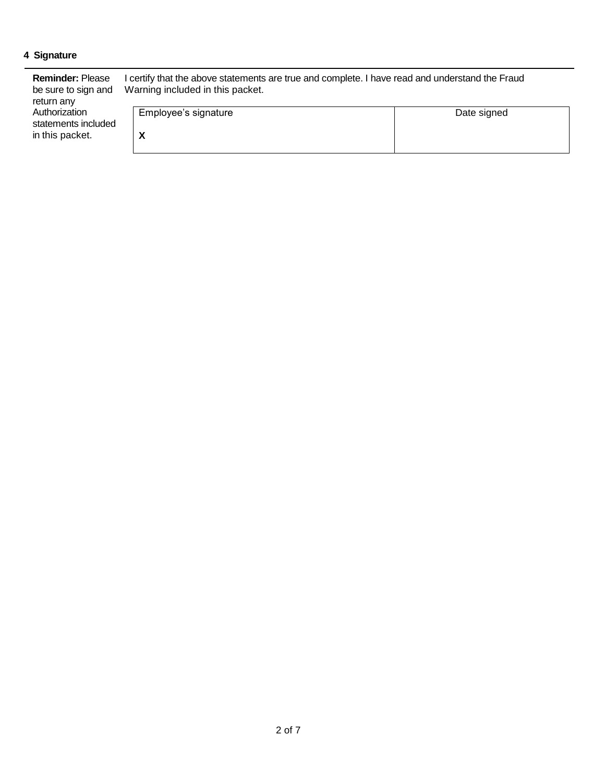## **4 Signature**

| <b>Reminder: Please</b><br>be sure to sign and<br>return any | I certify that the above statements are true and complete. I have read and understand the Fraud<br>Warning included in this packet. |             |  |  |
|--------------------------------------------------------------|-------------------------------------------------------------------------------------------------------------------------------------|-------------|--|--|
| Authorization<br>statements included                         | Employee's signature                                                                                                                | Date signed |  |  |
| in this packet.                                              | $\lambda$                                                                                                                           |             |  |  |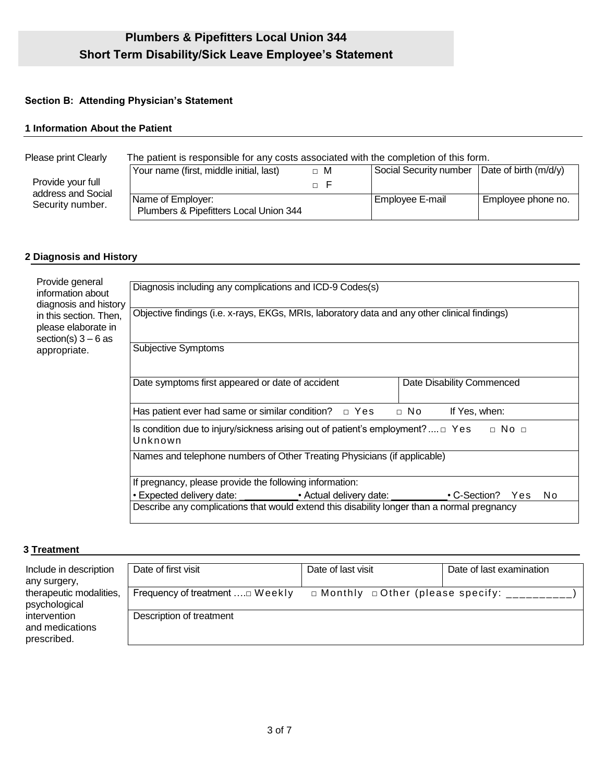## **Section B: Attending Physician's Statement**

## **1 Information About the Patient**

| Please print Clearly                   | The patient is responsible for any costs associated with the completion of this form. |          |                                                |                    |
|----------------------------------------|---------------------------------------------------------------------------------------|----------|------------------------------------------------|--------------------|
| Provide your full                      | Your name (first, middle initial, last)                                               | $\Box$ M | Social Security number   Date of birth (m/d/y) |                    |
| address and Social<br>Security number. | Name of Employer:<br>Plumbers & Pipefitters Local Union 344                           |          | Employee E-mail                                | Employee phone no. |

## **2 Diagnosis and History**

| Provide general<br>information about<br>diagnosis and history<br>in this section. Then,<br>please elaborate in<br>section(s) $3 - 6$ as<br>appropriate. | Diagnosis including any complications and ICD-9 Codes(s)                                                           |                            |  |  |
|---------------------------------------------------------------------------------------------------------------------------------------------------------|--------------------------------------------------------------------------------------------------------------------|----------------------------|--|--|
|                                                                                                                                                         | Objective findings (i.e. x-rays, EKGs, MRIs, laboratory data and any other clinical findings)                      |                            |  |  |
|                                                                                                                                                         | <b>Subjective Symptoms</b>                                                                                         |                            |  |  |
|                                                                                                                                                         | Date symptoms first appeared or date of accident                                                                   | Date Disability Commenced  |  |  |
|                                                                                                                                                         | Has patient ever had same or similar condition? $\Box$ Yes                                                         | $\Box$ No<br>If Yes, when: |  |  |
|                                                                                                                                                         | Is condition due to injury/sickness arising out of patient's employment? $\Box$ Yes<br>$\Box$ No $\Box$<br>Unknown |                            |  |  |
|                                                                                                                                                         | Names and telephone numbers of Other Treating Physicians (if applicable)                                           |                            |  |  |
|                                                                                                                                                         | If pregnancy, please provide the following information:                                                            |                            |  |  |
|                                                                                                                                                         | • Expected delivery date: ______________. Actual delivery date: ________________                                   | • C-Section? Yes<br>No.    |  |  |
|                                                                                                                                                         | Describe any complications that would extend this disability longer than a normal pregnancy                        |                            |  |  |

## **3 Treatment**

| Include in description<br>any surgery,         | Date of first visit              | Date of last visit                                    | Date of last examination |
|------------------------------------------------|----------------------------------|-------------------------------------------------------|--------------------------|
| therapeutic modalities,<br>psychological       | Frequency of treatment  [ Weekly | $\Box$ Monthly $\Box$ Other (please specify: ________ |                          |
| intervention<br>and medications<br>prescribed. | Description of treatment         |                                                       |                          |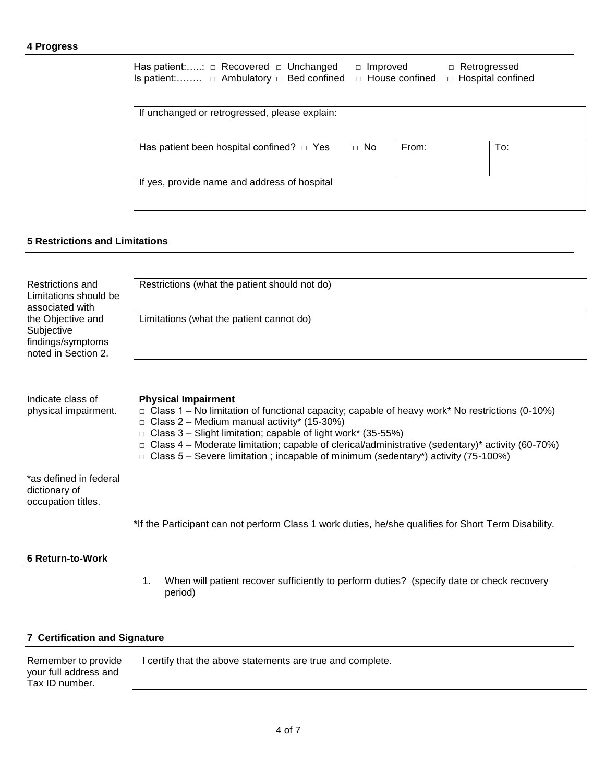#### **4 Progress**

Has patient:…..: □ Recovered □ Unchanged □ Improved □ Retrogressed Is patient:…….. □ Ambulatory □ Bed confined □ House confined □ Hospital confined

| If unchanged or retrogressed, please explain:  |           |       |     |
|------------------------------------------------|-----------|-------|-----|
| Has patient been hospital confined? $\Box$ Yes | $\Box$ No | From: | To: |
| If yes, provide name and address of hospital   |           |       |     |

## **5 Restrictions and Limitations**

| Restrictions and<br>Limitations should be<br>associated with                | Restrictions (what the patient should not do) |
|-----------------------------------------------------------------------------|-----------------------------------------------|
| the Objective and<br>Subjective<br>findings/symptoms<br>noted in Section 2. | Limitations (what the patient cannot do)      |

| Indicate class of<br>physical impairment.                     | <b>Physical Impairment</b><br>$\Box$ Class 1 – No limitation of functional capacity; capable of heavy work* No restrictions (0-10%)<br>$\Box$ Class 2 – Medium manual activity* (15-30%)<br>$\Box$ Class 3 – Slight limitation; capable of light work* (35-55%)<br>$\Box$ Class 4 – Moderate limitation; capable of clerical/administrative (sedentary)* activity (60-70%)<br>$\Box$ Class 5 – Severe limitation; incapable of minimum (sedentary*) activity (75-100%) |
|---------------------------------------------------------------|------------------------------------------------------------------------------------------------------------------------------------------------------------------------------------------------------------------------------------------------------------------------------------------------------------------------------------------------------------------------------------------------------------------------------------------------------------------------|
| *as defined in federal<br>dictionary of<br>occupation titles. |                                                                                                                                                                                                                                                                                                                                                                                                                                                                        |
|                                                               | *If the Participant can not perform Class 1 work duties, he/she qualifies for Short Term Disability.                                                                                                                                                                                                                                                                                                                                                                   |

#### **6 Return-to-Work**

1. When will patient recover sufficiently to perform duties? (specify date or check recovery period)

## **7 Certification and Signature**

| Remember to provide   | I certify that the above statements are true and complete. |
|-----------------------|------------------------------------------------------------|
| your full address and |                                                            |
| Tax ID number.        |                                                            |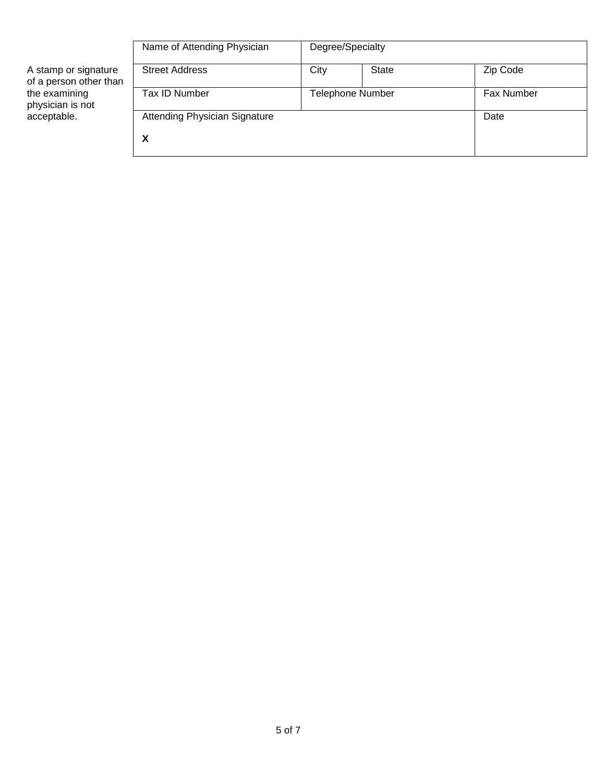|                                                                                                    | Name of Attending Physician          | Degree/Specialty |              |            |
|----------------------------------------------------------------------------------------------------|--------------------------------------|------------------|--------------|------------|
| A stamp or signature<br>of a person other than<br>the examining<br>physician is not<br>acceptable. | <b>Street Address</b>                | City             | <b>State</b> | Zip Code   |
|                                                                                                    | Tax ID Number                        | Telephone Number |              | Fax Number |
|                                                                                                    | <b>Attending Physician Signature</b> |                  |              | Date       |
|                                                                                                    | х                                    |                  |              |            |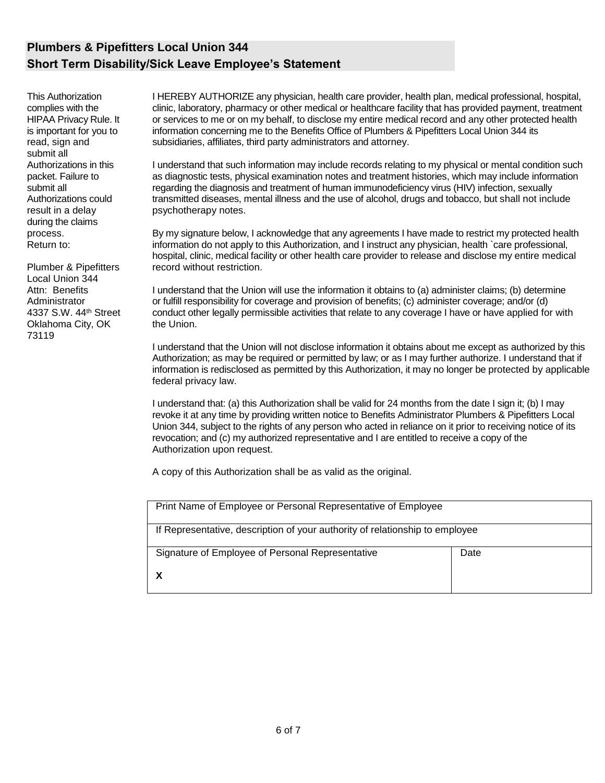# **Plumbers & Pipefitters Local Union 344 Short Term Disability/Sick Leave Employee's Statement**

This Authorization complies with the HIPAA Privacy Rule. It is important for you to read, sign and submit all Authorizations in this packet. Failure to submit all Authorizations could result in a delay during the claims process. Return to:

Plumber & Pipefitters Local Union 344 Attn: Benefits Administrator 4337 S.W. 44th Street Oklahoma City, OK 73119

I HEREBY AUTHORIZE any physician, health care provider, health plan, medical professional, hospital, clinic, laboratory, pharmacy or other medical or healthcare facility that has provided payment, treatment or services to me or on my behalf, to disclose my entire medical record and any other protected health information concerning me to the Benefits Office of Plumbers & Pipefitters Local Union 344 its subsidiaries, affiliates, third party administrators and attorney.

I understand that such information may include records relating to my physical or mental condition such as diagnostic tests, physical examination notes and treatment histories, which may include information regarding the diagnosis and treatment of human immunodeficiency virus (HIV) infection, sexually transmitted diseases, mental illness and the use of alcohol, drugs and tobacco, but shall not include psychotherapy notes.

By my signature below, I acknowledge that any agreements I have made to restrict my protected health information do not apply to this Authorization, and I instruct any physician, health `care professional, hospital, clinic, medical facility or other health care provider to release and disclose my entire medical record without restriction.

I understand that the Union will use the information it obtains to (a) administer claims; (b) determine or fulfill responsibility for coverage and provision of benefits; (c) administer coverage; and/or (d) conduct other legally permissible activities that relate to any coverage I have or have applied for with the Union.

I understand that the Union will not disclose information it obtains about me except as authorized by this Authorization; as may be required or permitted by law; or as I may further authorize. I understand that if information is redisclosed as permitted by this Authorization, it may no longer be protected by applicable federal privacy law.

I understand that: (a) this Authorization shall be valid for 24 months from the date I sign it; (b) I may revoke it at any time by providing written notice to Benefits Administrator Plumbers & Pipefitters Local Union 344, subject to the rights of any person who acted in reliance on it prior to receiving notice of its revocation; and (c) my authorized representative and I are entitled to receive a copy of the Authorization upon request.

A copy of this Authorization shall be as valid as the original.

| Print Name of Employee or Personal Representative of Employee                |      |
|------------------------------------------------------------------------------|------|
| If Representative, description of your authority of relationship to employee |      |
| Signature of Employee of Personal Representative                             | Date |
|                                                                              |      |